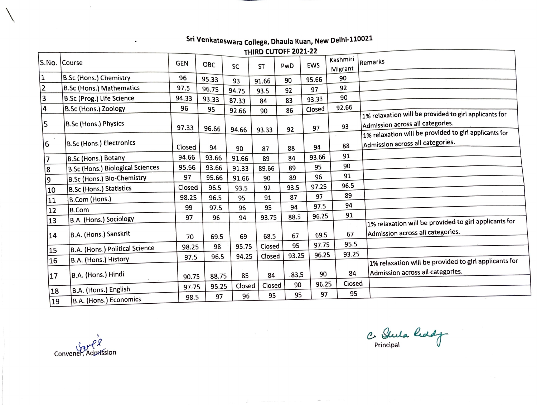## **Sri Venkateswara College, Dhaula Kuan, New Delhi-110021**

**THIRD CUTOFF 2021-22** 

|                | THIRD CUTOFF 2021-22                    |            |            |        |           |       |            |                     |                                                                                                                                                    |  |  |
|----------------|-----------------------------------------|------------|------------|--------|-----------|-------|------------|---------------------|----------------------------------------------------------------------------------------------------------------------------------------------------|--|--|
|                | S.No. Course                            | <b>GEN</b> | <b>OBC</b> | SC     | <b>ST</b> | PwD   | <b>EWS</b> | Kashmiri<br>Migrant | Remarks                                                                                                                                            |  |  |
| 1              | B.Sc (Hons.) Chemistry                  | 96         | 95.33      | 93     | 91.66     | 90    | 95.66      | 90                  |                                                                                                                                                    |  |  |
| $\overline{2}$ | <b>B.Sc (Hons.) Mathematics</b>         | 97.5       | 96.75      | 94.75  | 93.5      | 92    | 97         | 92                  |                                                                                                                                                    |  |  |
| $\vert$ 3      | B.Sc (Prog.) Life Science               | 94.33      | 93.33      | 87.33  | 84        | 83    | 93.33      | 90                  |                                                                                                                                                    |  |  |
| 4              | B.Sc (Hons.) Zoology                    | 96         | 95         | 92.66  | 90        | 86    | Closed     | 92.66               |                                                                                                                                                    |  |  |
| 5              | B.Sc (Hons.) Physics                    | 97.33      | 96.66      | 94.66  | 93.33     | 92    | 97         | 93                  | 1% relaxation will be provided to girl applicants for<br>Admission across all categories.<br>1% relaxation will be provided to girl applicants for |  |  |
| $\sim$<br>6    | B.Sc (Hons.) Electronics                | Closed     | 94         | 90     | 87        | 88    | 94         | 88                  | Admission across all categories.                                                                                                                   |  |  |
|                | B.Sc (Hons.) Botany                     | 94.66      | 93.66      | 91.66  | 89        | 84    | 93.66      | 91                  |                                                                                                                                                    |  |  |
| 8              | <b>B.Sc (Hons.) Biological Sciences</b> | 95.66      | 93.66      | 91.33  | 89.66     | 89    | 95         | 90                  |                                                                                                                                                    |  |  |
| 9              | B.Sc (Hons.) Bio-Chemistry              | 97         | 95.66      | 91.66  | 90        | 89    | 96         | 91                  |                                                                                                                                                    |  |  |
| 10             | <b>B.Sc (Hons.) Statistics</b>          | Closed     | 96.5       | 93.5   | 92        | 93.5  | 97.25      | 96.5                |                                                                                                                                                    |  |  |
| 11             | B.Com (Hons.)                           | 98.25      | 96.5       | 95     | 91        | 87    | 97         | 89                  |                                                                                                                                                    |  |  |
| 12             | <b>B.Com</b>                            | 99         | 97.5       | 96     | 95        | 94    | 97.5       | 94                  |                                                                                                                                                    |  |  |
| 13             | B.A. (Hons.) Sociology                  | 97         | 96         | 94     | 93.75     | 88.5  | 96.25      | 91                  | 1% relaxation will be provided to girl applicants for                                                                                              |  |  |
| 14             | B.A. (Hons.) Sanskrit                   | 70         | 69.5       | 69     | 68.5      | 67    | 69.5       | 67                  | Admission across all categories.                                                                                                                   |  |  |
| 15             | B.A. (Hons.) Political Science          | 98.25      | 98         | 95.75  | Closed    | 95    | 97.75      | 95.5                |                                                                                                                                                    |  |  |
| 16             | B.A. (Hons.) History                    | 97.5       | 96.5       | 94.25  | Closed    | 93.25 | 96.25      | 93.25               |                                                                                                                                                    |  |  |
| 17             | B.A. (Hons.) Hindi                      | 90.75      | 88.75      | 85     | 84        | 83.5  | 90         | 84                  | 1% relaxation will be provided to girl applicants for<br>Admission across all categories.                                                          |  |  |
| 18             | B.A. (Hons.) English                    | 97.75      | 95.25      | Closed | Closed    | 90    | 96.25      | Closed              |                                                                                                                                                    |  |  |
| 19             | B.A. (Hons.) Economics                  | 98.5       | 97         | 96     | 95        | 95    | 97         | 95                  |                                                                                                                                                    |  |  |

Convener, Admission

 $\ddot{\phantom{a}}$ 

 $\overline{\phantom{0}}$ 

*(!.> (),,~*  Principal **Designation**